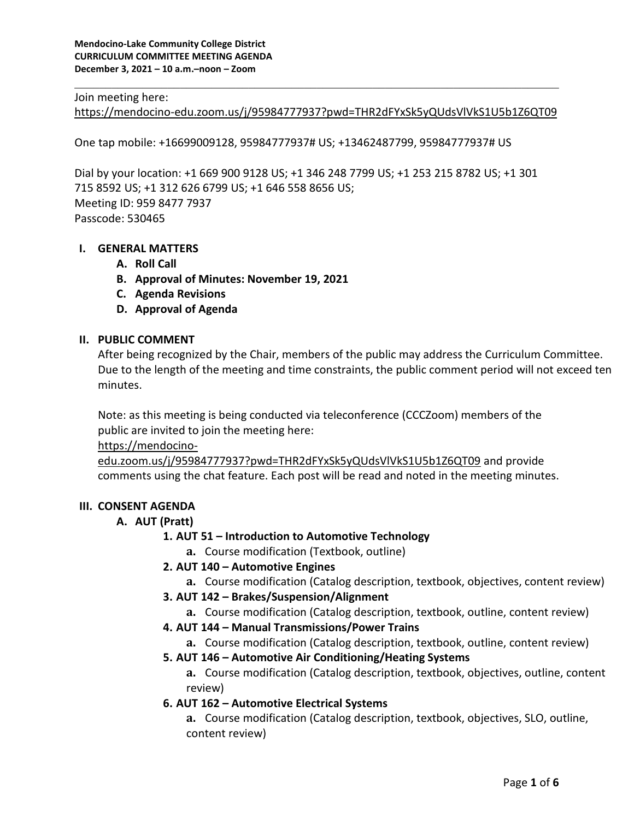#### Join meeting here:

<https://mendocino-edu.zoom.us/j/95984777937?pwd=THR2dFYxSk5yQUdsVlVkS1U5b1Z6QT09>

\_\_\_\_\_\_\_\_\_\_\_\_\_\_\_\_\_\_\_\_\_\_\_\_\_\_\_\_\_\_\_\_\_\_\_\_\_\_\_\_\_\_\_\_\_\_\_\_\_\_\_\_\_\_\_\_\_\_\_\_\_\_\_\_\_\_\_\_\_\_\_\_\_\_\_\_\_\_

One tap mobile: +16699009128, 95984777937# US; +13462487799, 95984777937# US

Dial by your location: +1 669 900 9128 US; +1 346 248 7799 US; +1 253 215 8782 US; +1 301 715 8592 US; +1 312 626 6799 US; +1 646 558 8656 US; Meeting ID: 959 8477 7937 Passcode: 530465

#### **I. GENERAL MATTERS**

- **A. Roll Call**
- **B. Approval of Minutes: November 19, 2021**
- **C. Agenda Revisions**
- **D. Approval of Agenda**

### **II. PUBLIC COMMENT**

After being recognized by the Chair, members of the public may address the Curriculum Committee. Due to the length of the meeting and time constraints, the public comment period will not exceed ten minutes.

Note: as this meeting is being conducted via teleconference (CCCZoom) members of the public are invited to join the meeting here:

[https://mendocino-](https://mendocino-edu.zoom.us/j/95984777937?pwd=THR2dFYxSk5yQUdsVlVkS1U5b1Z6QT09)

[edu.zoom.us/j/95984777937?pwd=THR2dFYxSk5yQUdsVlVkS1U5b1Z6QT09](https://mendocino-edu.zoom.us/j/95984777937?pwd=THR2dFYxSk5yQUdsVlVkS1U5b1Z6QT09) and provide comments using the chat feature. Each post will be read and noted in the meeting minutes.

#### **III. CONSENT AGENDA**

### **A. AUT (Pratt)**

### **1. AUT 51 – Introduction to Automotive Technology**

**a.** Course modification (Textbook, outline)

### **2. AUT 140 – Automotive Engines**

- **a.** Course modification (Catalog description, textbook, objectives, content review)
- **3. AUT 142 – Brakes/Suspension/Alignment**
	- **a.** Course modification (Catalog description, textbook, outline, content review)
- **4. AUT 144 – Manual Transmissions/Power Trains**
	- **a.** Course modification (Catalog description, textbook, outline, content review)

### **5. AUT 146 – Automotive Air Conditioning/Heating Systems**

**a.** Course modification (Catalog description, textbook, objectives, outline, content review)

### **6. AUT 162 – Automotive Electrical Systems**

**a.** Course modification (Catalog description, textbook, objectives, SLO, outline, content review)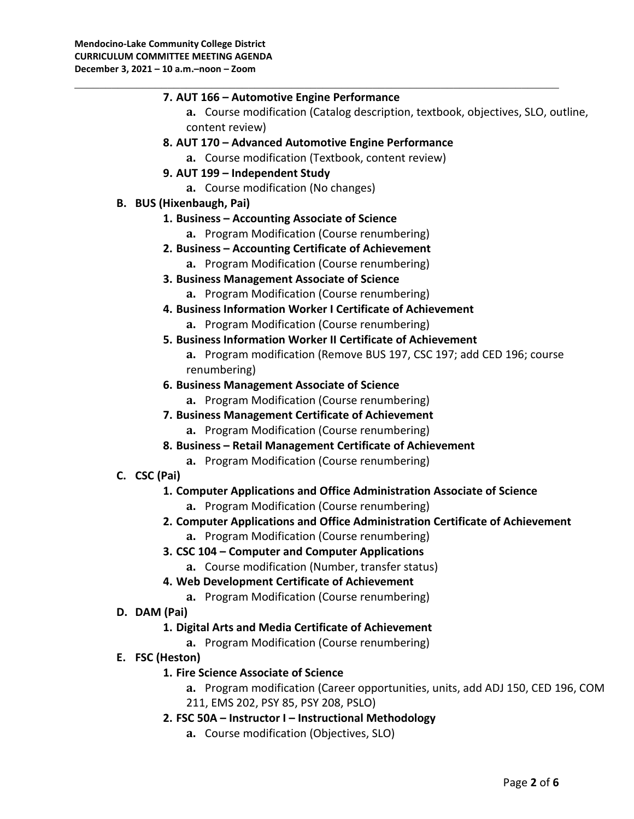| 7. AUT 166 - Automotive Engine Performance                                       |
|----------------------------------------------------------------------------------|
| a. Course modification (Catalog description, textbook, objectives, SLO, outline, |
| content review)                                                                  |
| 8. AUT 170 - Advanced Automotive Engine Performance                              |
| a. Course modification (Textbook, content review)                                |
| 9. AUT 199 - Independent Study                                                   |
| a. Course modification (No changes)                                              |
| <b>B. BUS (Hixenbaugh, Pai)</b>                                                  |
| 1. Business - Accounting Associate of Science                                    |
| a. Program Modification (Course renumbering)                                     |
| 2. Business - Accounting Certificate of Achievement                              |
| a. Program Modification (Course renumbering)                                     |
| 3. Business Management Associate of Science                                      |
| a. Program Modification (Course renumbering)                                     |
| 4. Business Information Worker I Certificate of Achievement                      |
| a. Program Modification (Course renumbering)                                     |
| 5. Business Information Worker II Certificate of Achievement                     |
| a. Program modification (Remove BUS 197, CSC 197; add CED 196; course            |
| renumbering)                                                                     |
| 6. Business Management Associate of Science                                      |
| a. Program Modification (Course renumbering)                                     |
| 7. Business Management Certificate of Achievement                                |
| a. Program Modification (Course renumbering)                                     |
| 8. Business - Retail Management Certificate of Achievement                       |
| a. Program Modification (Course renumbering)                                     |
| C. CSC (Pai)                                                                     |
| 1. Computer Applications and Office Administration Associate of Science          |
| a. Program Modification (Course renumbering)                                     |
| 2. Computer Applications and Office Administration Certificate of Achievement    |
| a. Program Modification (Course renumbering)                                     |
| 3. CSC 104 - Computer and Computer Applications                                  |
| a. Course modification (Number, transfer status)                                 |
| 4. Web Development Certificate of Achievement                                    |
| a. Program Modification (Course renumbering)                                     |
| D. DAM (Pai)                                                                     |
| 1. Digital Arts and Media Certificate of Achievement                             |
| a. Program Modification (Course renumbering)                                     |
| E. FSC (Heston)                                                                  |

**1. Fire Science Associate of Science**

**a.** Program modification (Career opportunities, units, add ADJ 150, CED 196, COM 211, EMS 202, PSY 85, PSY 208, PSLO)

- **2. FSC 50A – Instructor I – Instructional Methodology**
	- **a.** Course modification (Objectives, SLO)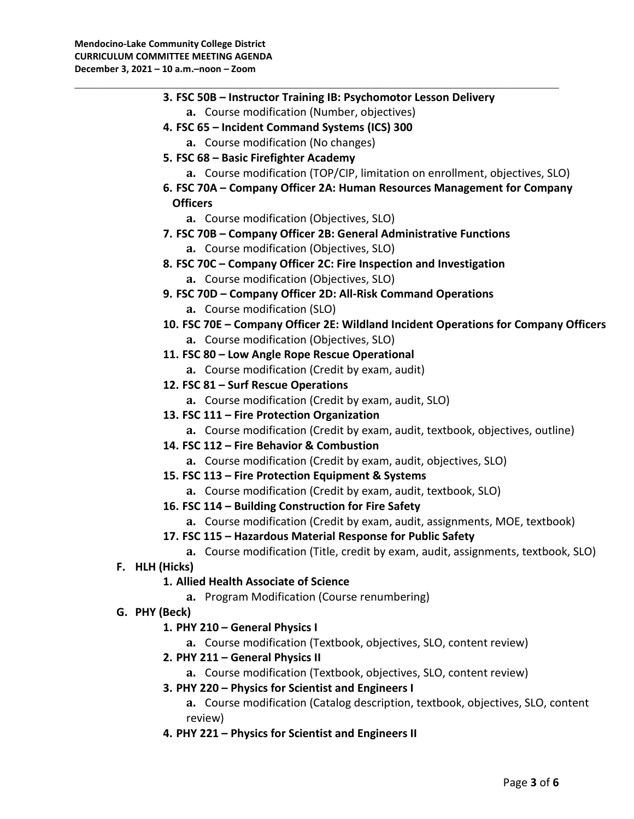|                | 3. FSC 50B - Instructor Training IB: Psychomotor Lesson Delivery                                                                                 |
|----------------|--------------------------------------------------------------------------------------------------------------------------------------------------|
|                | a. Course modification (Number, objectives)                                                                                                      |
|                | 4. FSC 65 - Incident Command Systems (ICS) 300                                                                                                   |
|                | a. Course modification (No changes)                                                                                                              |
|                | 5. FSC 68 - Basic Firefighter Academy                                                                                                            |
|                | a. Course modification (TOP/CIP, limitation on enrollment, objectives, SLO)                                                                      |
|                | 6. FSC 70A - Company Officer 2A: Human Resources Management for Company                                                                          |
|                | <b>Officers</b>                                                                                                                                  |
|                | a. Course modification (Objectives, SLO)                                                                                                         |
|                | 7. FSC 70B - Company Officer 2B: General Administrative Functions                                                                                |
|                | a. Course modification (Objectives, SLO)                                                                                                         |
|                | 8. FSC 70C - Company Officer 2C: Fire Inspection and Investigation                                                                               |
|                | a. Course modification (Objectives, SLO)                                                                                                         |
|                | 9. FSC 70D - Company Officer 2D: All-Risk Command Operations                                                                                     |
|                | a. Course modification (SLO)                                                                                                                     |
|                | 10. FSC 70E - Company Officer 2E: Wildland Incident Operations for Company Officers                                                              |
|                | a. Course modification (Objectives, SLO)                                                                                                         |
|                | 11. FSC 80 - Low Angle Rope Rescue Operational                                                                                                   |
|                | a. Course modification (Credit by exam, audit)                                                                                                   |
|                | 12. FSC 81 - Surf Rescue Operations                                                                                                              |
|                | a. Course modification (Credit by exam, audit, SLO)                                                                                              |
|                | 13. FSC 111 - Fire Protection Organization                                                                                                       |
|                | a. Course modification (Credit by exam, audit, textbook, objectives, outline)                                                                    |
|                | 14. FSC 112 - Fire Behavior & Combustion                                                                                                         |
|                | a. Course modification (Credit by exam, audit, objectives, SLO)                                                                                  |
|                | 15. FSC 113 - Fire Protection Equipment & Systems                                                                                                |
|                | a. Course modification (Credit by exam, audit, textbook, SLO)                                                                                    |
|                | 16. FSC 114 - Building Construction for Fire Safety                                                                                              |
|                | a. Course modification (Credit by exam, audit, assignments, MOE, textbook)                                                                       |
|                |                                                                                                                                                  |
|                | 17. FSC 115 - Hazardous Material Response for Public Safety<br>a. Course modification (Title, credit by exam, audit, assignments, textbook, SLO) |
|                |                                                                                                                                                  |
| F. HLH (Hicks) |                                                                                                                                                  |
|                | 1. Allied Health Associate of Science                                                                                                            |
|                | a. Program Modification (Course renumbering)                                                                                                     |
| G. PHY (Beck)  |                                                                                                                                                  |
|                | 1. PHY 210 - General Physics I                                                                                                                   |
|                | a. Course modification (Textbook, objectives, SLO, content review)                                                                               |
|                | 2. PHY 211 - General Physics II                                                                                                                  |
|                | a. Course modification (Textbook, objectives, SLO, content review)                                                                               |
|                | 3. PHY 220 - Physics for Scientist and Engineers I                                                                                               |
|                | a. Course modification (Catalog description, textbook, objectives, SLO, content                                                                  |
|                | review)                                                                                                                                          |

**4. PHY 221 – Physics for Scientist and Engineers II**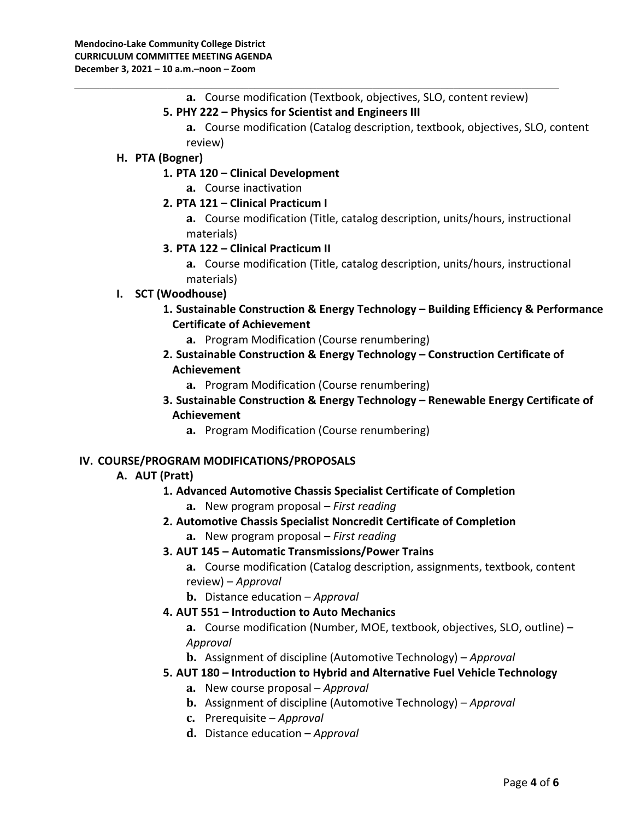**a.** Course modification (Textbook, objectives, SLO, content review)

## **5. PHY 222 – Physics for Scientist and Engineers III**

\_\_\_\_\_\_\_\_\_\_\_\_\_\_\_\_\_\_\_\_\_\_\_\_\_\_\_\_\_\_\_\_\_\_\_\_\_\_\_\_\_\_\_\_\_\_\_\_\_\_\_\_\_\_\_\_\_\_\_\_\_\_\_\_\_\_\_\_\_\_\_\_\_\_\_\_\_\_

**a.** Course modification (Catalog description, textbook, objectives, SLO, content review)

## **H. PTA (Bogner)**

### **1. PTA 120 – Clinical Development**

- **a.** Course inactivation
- **2. PTA 121 – Clinical Practicum I**
	- **a.** Course modification (Title, catalog description, units/hours, instructional materials)

### **3. PTA 122 – Clinical Practicum II**

**a.** Course modification (Title, catalog description, units/hours, instructional materials)

# **I. SCT (Woodhouse)**

- **1. Sustainable Construction & Energy Technology – Building Efficiency & Performance Certificate of Achievement**
	- **a.** Program Modification (Course renumbering)
- **2. Sustainable Construction & Energy Technology – Construction Certificate of Achievement** 
	- **a.** Program Modification (Course renumbering)
- **3. Sustainable Construction & Energy Technology – Renewable Energy Certificate of Achievement**
	- **a.** Program Modification (Course renumbering)

### **IV. COURSE/PROGRAM MODIFICATIONS/PROPOSALS**

# **A. AUT (Pratt)**

# **1. Advanced Automotive Chassis Specialist Certificate of Completion**

- **a.** New program proposal *First reading*
- **2. Automotive Chassis Specialist Noncredit Certificate of Completion** 
	- **a.** New program proposal *First reading*
- **3. AUT 145 – Automatic Transmissions/Power Trains**

**a.** Course modification (Catalog description, assignments, textbook, content review) – *Approval* 

**b.** Distance education – *Approval* 

# **4. AUT 551 – Introduction to Auto Mechanics**

**a.** Course modification (Number, MOE, textbook, objectives, SLO, outline) – *Approval* 

**b.** Assignment of discipline (Automotive Technology) – *Approval* 

# **5. AUT 180 – Introduction to Hybrid and Alternative Fuel Vehicle Technology**

- **a.** New course proposal *Approval*
- **b.** Assignment of discipline (Automotive Technology) *Approval*
- **c.** Prerequisite *Approval*
- **d.** Distance education *Approval*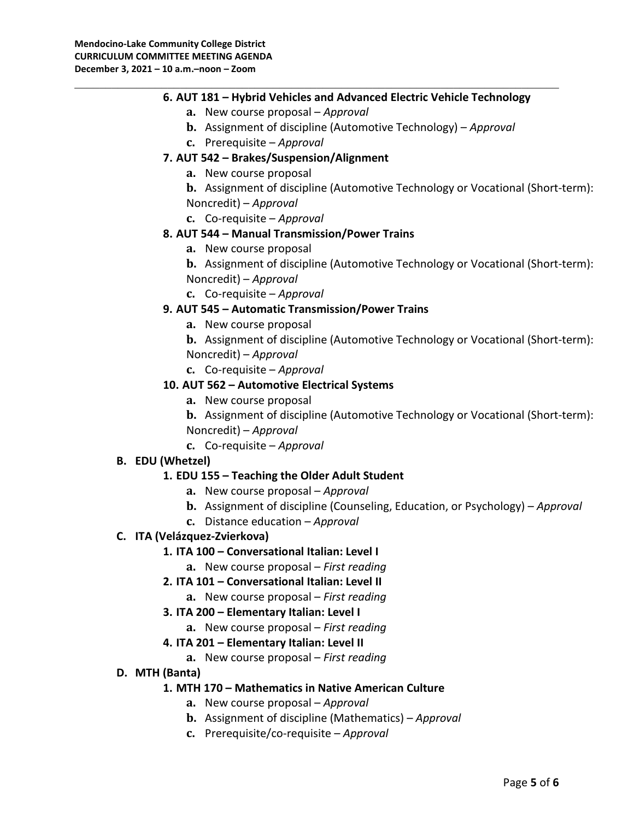### **6. AUT 181 – Hybrid Vehicles and Advanced Electric Vehicle Technology**

\_\_\_\_\_\_\_\_\_\_\_\_\_\_\_\_\_\_\_\_\_\_\_\_\_\_\_\_\_\_\_\_\_\_\_\_\_\_\_\_\_\_\_\_\_\_\_\_\_\_\_\_\_\_\_\_\_\_\_\_\_\_\_\_\_\_\_\_\_\_\_\_\_\_\_\_\_\_

- **a.** New course proposal *Approval*
- **b.** Assignment of discipline (Automotive Technology) *Approval*
- **c.** Prerequisite *Approval*
- **7. AUT 542 – Brakes/Suspension/Alignment**
	- **a.** New course proposal
	- **b.** Assignment of discipline (Automotive Technology or Vocational (Short-term):
	- Noncredit) *Approval*
	- **c.** Co-requisite *Approval*

### **8. AUT 544 – Manual Transmission/Power Trains**

- **a.** New course proposal
- **b.** Assignment of discipline (Automotive Technology or Vocational (Short-term): Noncredit) – *Approval*
- **c.** Co-requisite *Approval*

### **9. AUT 545 – Automatic Transmission/Power Trains**

- **a.** New course proposal
- **b.** Assignment of discipline (Automotive Technology or Vocational (Short-term): Noncredit) – *Approval*
- **c.** Co-requisite *Approval*

### **10. AUT 562 – Automotive Electrical Systems**

**a.** New course proposal

**b.** Assignment of discipline (Automotive Technology or Vocational (Short-term): Noncredit) – *Approval*

**c.** Co-requisite – *Approval*

### **B. EDU (Whetzel)**

### **1. EDU 155 – Teaching the Older Adult Student**

- **a.** New course proposal *Approval*
- **b.** Assignment of discipline (Counseling, Education, or Psychology) *Approval*
- **c.** Distance education *Approval*

### **C. ITA (Velázquez-Zvierkova)**

### **1. ITA 100 – Conversational Italian: Level I**

- **a.** New course proposal *First reading*
- **2. ITA 101 – Conversational Italian: Level II**
	- **a.** New course proposal *First reading*
- **3. ITA 200 – Elementary Italian: Level I**
	- **a.** New course proposal *First reading*

### **4. ITA 201 – Elementary Italian: Level II**

**a.** New course proposal – *First reading*

### **D. MTH (Banta)**

### **1. MTH 170 – Mathematics in Native American Culture**

- **a.** New course proposal *Approval*
- **b.** Assignment of discipline (Mathematics) *Approval*
- **c.** Prerequisite/co-requisite *Approval*